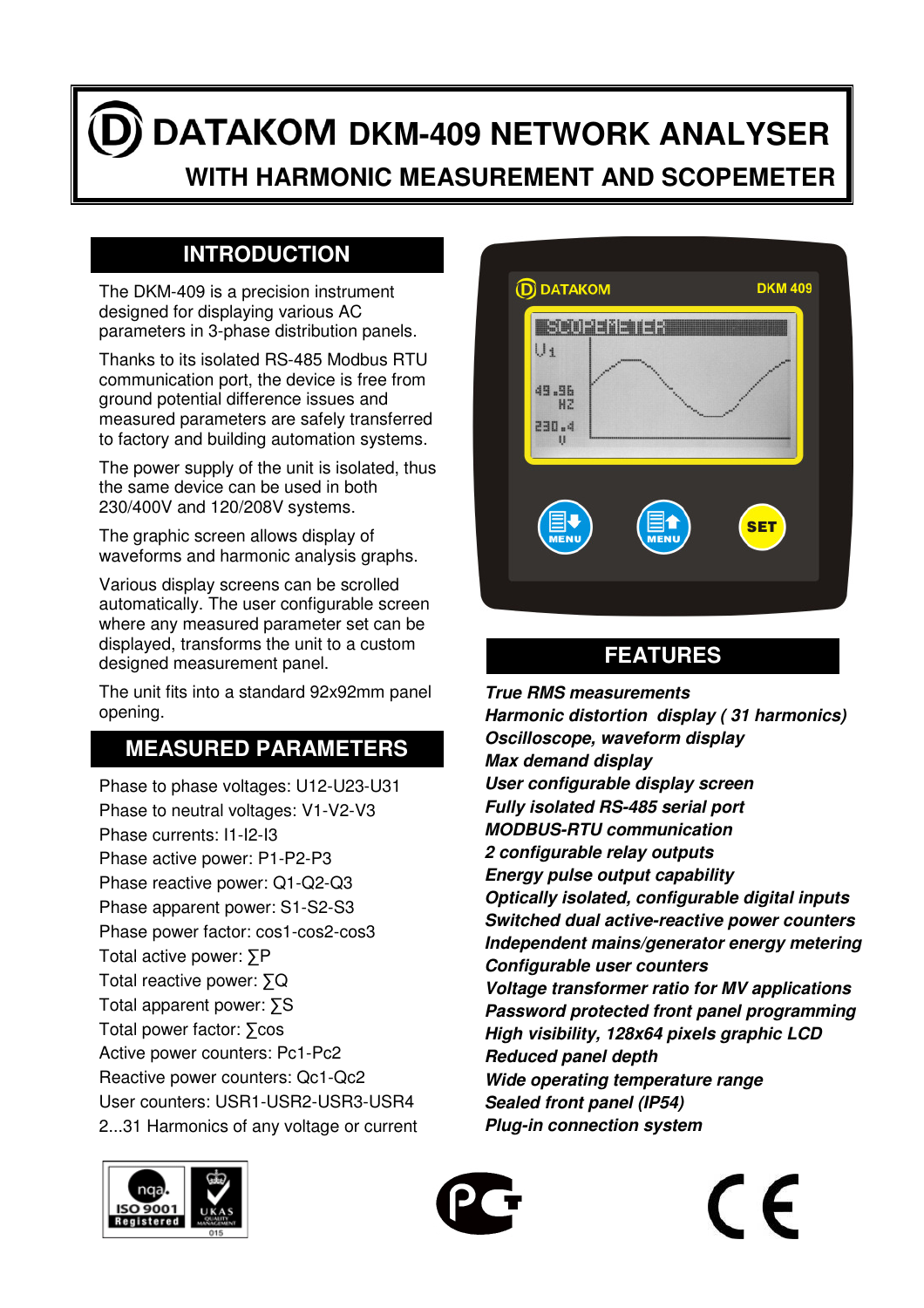# DATAKOM DKM-409 NETWORK ANALYSER

 **WITH HARMONIC MEASUREMENT AND SCOPEMETER**

## **INTRODUCTION**

The DKM-409 is a precision instrument designed for displaying various AC parameters in 3-phase distribution panels.

Thanks to its isolated RS-485 Modbus RTU communication port, the device is free from ground potential difference issues and measured parameters are safely transferred to factory and building automation systems.

The power supply of the unit is isolated, thus the same device can be used in both 230/400V and 120/208V systems.

The graphic screen allows display of waveforms and harmonic analysis graphs.

Various display screens can be scrolled automatically. The user configurable screen where any measured parameter set can be displayed, transforms the unit to a custom designed measurement panel.

The unit fits into a standard 92x92mm panel opening.

## **MEASURED PARAMETERS**

Phase to phase voltages: U12-U23-U31 Phase to neutral voltages: V1-V2-V3 Phase currents: I1-I2-I3 Phase active power: P1-P2-P3 Phase reactive power: Q1-Q2-Q3 Phase apparent power: S1-S2-S3 Phase power factor: cos1-cos2-cos3 Total active power: ∑P Total reactive power: ∑Q Total apparent power: ∑S Total power factor: ∑cos Active power counters: Pc1-Pc2 Reactive power counters: Qc1-Qc2 User counters: USR1-USR2-USR3-USR4 2...31 Harmonics of any voltage or current



# **FEATURES**

**True RMS measurements Harmonic distortion display ( 31 harmonics) Oscilloscope, waveform display Max demand display User configurable display screen Fully isolated RS-485 serial port MODBUS-RTU communication 2 configurable relay outputs Energy pulse output capability Optically isolated, configurable digital inputs Switched dual active-reactive power counters Independent mains/generator energy metering Configurable user counters Voltage transformer ratio for MV applications Password protected front panel programming High visibility, 128x64 pixels graphic LCD Reduced panel depth Wide operating temperature range Sealed front panel (IP54) Plug-in connection system**